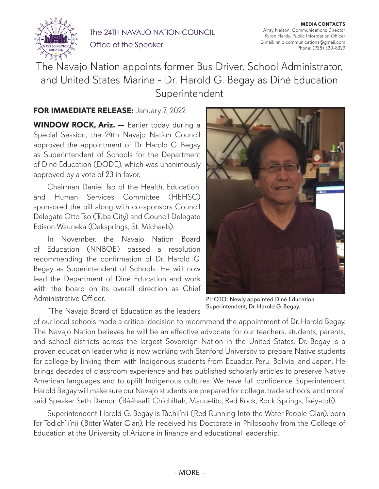

The 24TH NAVAJO NATION COUNCIL Office of the Speaker

**MEDIA CONTACTS** Alray Nelson, Communications Director Kyron Hardy, Public Information Officer E-mail: nnlb.communications@gmail.com Phone: (928) 530-8329

The Navajo Nation appoints former Bus Driver, School Administrator, and United States Marine - Dr. Harold G. Begay as Diné Education **Superintendent** 

## **FOR IMMEDIATE RELEASE:** January 7, 2022

**WINDOW ROCK, Ariz. —** Earlier today during a Special Session, the 24th Navajo Nation Council approved the appointment of Dr. Harold G. Begay as Superintendent of Schools for the Department of Diné Education (DODE), which was unanimously approved by a vote of 23 in favor.

Chairman Daniel Tso of the Health, Education, and Human Services Committee (HEHSC) sponsored the bill along with co-sponsors Council Delegate Otto Tso (Tuba City) and Council Delegate Edison Wauneka (Oaksprings, St. Michaels).

In November, the Navajo Nation Board of Education (NNBOE) passed a resolution recommending the confirmation of Dr. Harold G. Begay as Superintendent of Schools. He will now lead the Department of Diné Education and work with the board on its overall direction as Chief Administrative Officer.

PHOTO: Newly appointed Diné Education Superintendent, Dr. Harold G. Begay.

"The Navajo Board of Education as the leaders

of our local schools made a critical decision to recommend the appointment of Dr. Harold Begay. The Navajo Nation believes he will be an effective advocate for our teachers, students, parents, and school districts across the largest Sovereign Nation in the United States. Dr. Begay is a proven education leader who is now working with Stanford University to prepare Native students for college by linking them with Indigenous students from Ecuador, Peru, Bolivia, and Japan. He brings decades of classroom experience and has published scholarly articles to preserve Native American languages and to uplift Indigenous cultures. We have full confidence Superintendent Harold Begay will make sure our Navajo students are prepared for college, trade schools, and more" said Speaker Seth Damon (Bááhaalí, Chichiltah, Manuelito, Red Rock, Rock Springs, Tséyatoh).

Superintendent Harold G. Begay is Táchii'nii (Red Running Into the Water People Clan), born for Tódich'ii'nii (Bitter Water Clan). He received his Doctorate in Philosophy from the College of Education at the University of Arizona in finance and educational leadership.